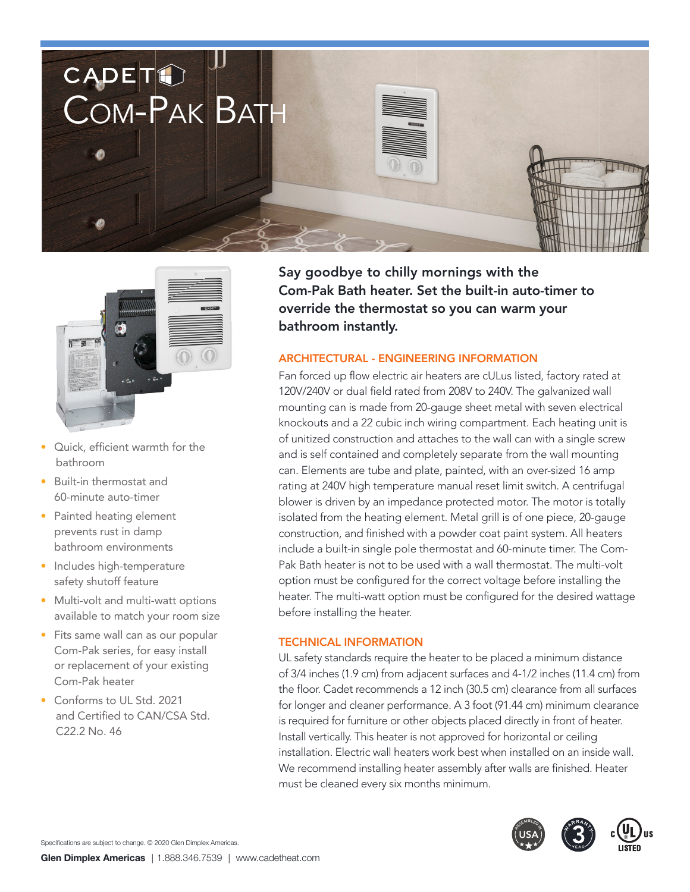



- • Quick, efficient warmth for the bathroom
- • Built-in thermostat and 60-minute auto-timer
- Painted heating element prevents rust in damp bathroom environments
- Includes high-temperature safety shutoff feature
- Multi-volt and multi-watt options available to match your room size
- Fits same wall can as our popular Com-Pak series, for easy install or replacement of your existing Com-Pak heater
- Conforms to UL Std. 2021 and Certified to CAN/CSA Std. C22.2 No. 46

Say goodbye to chilly mornings with the Com-Pak Bath heater. Set the built-in auto-timer to override the thermostat so you can warm your bathroom instantly.

## ARCHITECTURAL - ENGINEERING INFORMATION

Fan forced up flow electric air heaters are cULus listed, factory rated at 120V/240V or dual field rated from 208V to 240V. The galvanized wall mounting can is made from 20-gauge sheet metal with seven electrical knockouts and a 22 cubic inch wiring compartment. Each heating unit is of unitized construction and attaches to the wall can with a single screw and is self contained and completely separate from the wall mounting can. Elements are tube and plate, painted, with an over-sized 16 amp rating at 240V high temperature manual reset limit switch. A centrifugal blower is driven by an impedance protected motor. The motor is totally isolated from the heating element. Metal grill is of one piece, 20-gauge construction, and finished with a powder coat paint system. All heaters include a built-in single pole thermostat and 60-minute timer. The Com-Pak Bath heater is not to be used with a wall thermostat. The multi-volt option must be configured for the correct voltage before installing the heater. The multi-watt option must be configured for the desired wattage before installing the heater.

## TECHNICAL INFORMATION

UL safety standards require the heater to be placed a minimum distance of 3/4 inches (1.9 cm) from adjacent surfaces and 4-1/2 inches (11.4 cm) from the floor. Cadet recommends a 12 inch (30.5 cm) clearance from all surfaces for longer and cleaner performance. A 3 foot (91.44 cm) minimum clearance is required for furniture or other objects placed directly in front of heater. Install vertically. This heater is not approved for horizontal or ceiling installation. Electric wall heaters work best when installed on an inside wall. We recommend installing heater assembly after walls are finished. Heater must be cleaned every six months minimum.